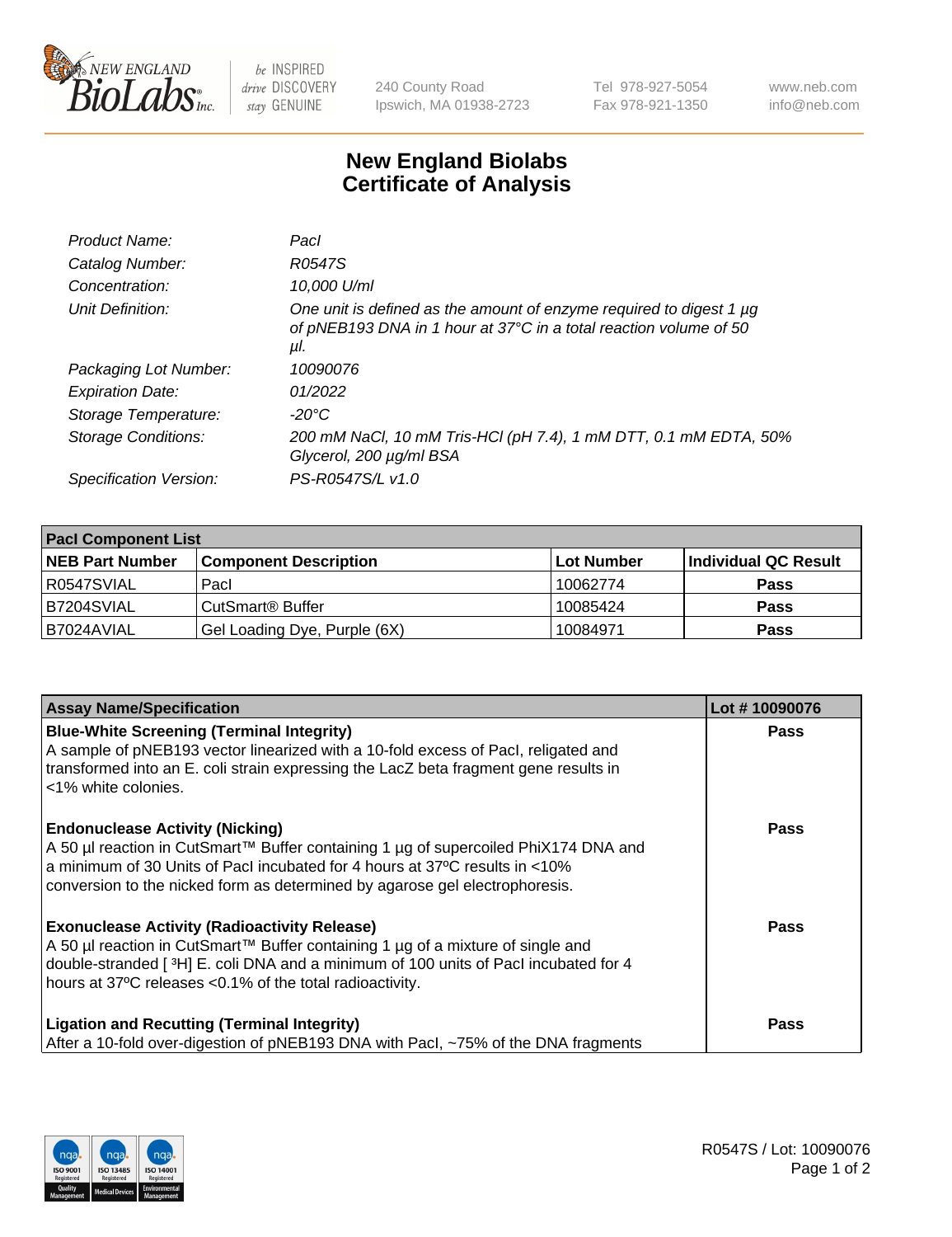

 $be$  INSPIRED drive DISCOVERY stay GENUINE

240 County Road Ipswich, MA 01938-2723 Tel 978-927-5054 Fax 978-921-1350 www.neb.com info@neb.com

## **New England Biolabs Certificate of Analysis**

| Product Name:           | Pacl                                                                                                                                            |
|-------------------------|-------------------------------------------------------------------------------------------------------------------------------------------------|
| Catalog Number:         | R0547S                                                                                                                                          |
| Concentration:          | 10,000 U/ml                                                                                                                                     |
| Unit Definition:        | One unit is defined as the amount of enzyme required to digest 1 µg<br>of pNEB193 DNA in 1 hour at 37°C in a total reaction volume of 50<br>μI. |
| Packaging Lot Number:   | 10090076                                                                                                                                        |
| <b>Expiration Date:</b> | 01/2022                                                                                                                                         |
| Storage Temperature:    | $-20^{\circ}$ C                                                                                                                                 |
| Storage Conditions:     | 200 mM NaCl, 10 mM Tris-HCl (pH 7.4), 1 mM DTT, 0.1 mM EDTA, 50%<br>Glycerol, 200 µg/ml BSA                                                     |
| Specification Version:  | PS-R0547S/L v1.0                                                                                                                                |

| <b>Pacl Component List</b> |                              |             |                      |  |  |
|----------------------------|------------------------------|-------------|----------------------|--|--|
| <b>NEB Part Number</b>     | <b>Component Description</b> | ∣Lot Number | Individual QC Result |  |  |
| R0547SVIAL                 | Pacl                         | 10062774    | <b>Pass</b>          |  |  |
| B7204SVIAL                 | CutSmart® Buffer             | 10085424    | <b>Pass</b>          |  |  |
| B7024AVIAL                 | Gel Loading Dye, Purple (6X) | 10084971    | <b>Pass</b>          |  |  |

| <b>Assay Name/Specification</b>                                                                                                                                                                                                                                                             | Lot #10090076 |
|---------------------------------------------------------------------------------------------------------------------------------------------------------------------------------------------------------------------------------------------------------------------------------------------|---------------|
| <b>Blue-White Screening (Terminal Integrity)</b><br>A sample of pNEB193 vector linearized with a 10-fold excess of Pacl, religated and<br>transformed into an E. coli strain expressing the LacZ beta fragment gene results in<br>l <1% white colonies.                                     | <b>Pass</b>   |
| <b>Endonuclease Activity (Nicking)</b><br>A 50 µl reaction in CutSmart™ Buffer containing 1 µg of supercoiled PhiX174 DNA and<br>a minimum of 30 Units of Pacl incubated for 4 hours at 37°C results in <10%<br>conversion to the nicked form as determined by agarose gel electrophoresis. | Pass          |
| <b>Exonuclease Activity (Radioactivity Release)</b><br>  A 50 µl reaction in CutSmart™ Buffer containing 1 µg of a mixture of single and<br>double-stranded [3H] E. coli DNA and a minimum of 100 units of Pacl incubated for 4<br>hours at 37°C releases <0.1% of the total radioactivity. | Pass          |
| <b>Ligation and Recutting (Terminal Integrity)</b><br>After a 10-fold over-digestion of pNEB193 DNA with Pacl, ~75% of the DNA fragments                                                                                                                                                    | Pass          |